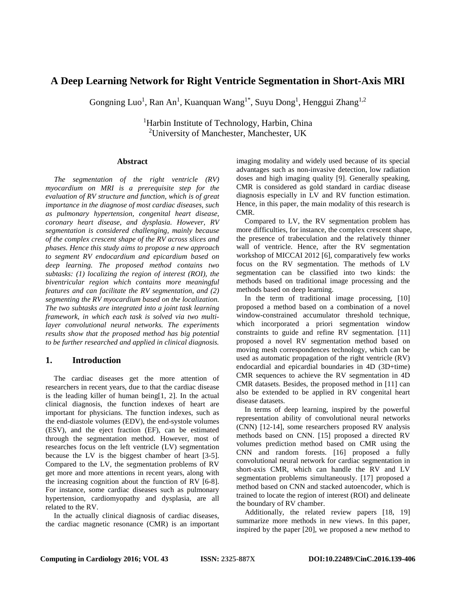# **A Deep Learning Network for Right Ventricle Segmentation in Short-Axis MRI**

Gongning Luo<sup>1</sup>, Ran An<sup>1</sup>, Kuanquan Wang<sup>1\*</sup>, Suyu Dong<sup>1</sup>, Henggui Zhang<sup>1,2</sup>

<sup>1</sup>Harbin Institute of Technology, Harbin, China <sup>2</sup>University of Manchester, Manchester, UK

### **Abstract**

*The segmentation of the right ventricle (RV) myocardium on MRI is a prerequisite step for the evaluation of RV structure and function, which is of great importance in the diagnose of most cardiac diseases, such as pulmonary hypertension, congenital heart disease, coronary heart disease, and dysplasia. However, RV segmentation is considered challenging, mainly because of the complex crescent shape of the RV across slices and phases. Hence this study aims to propose a new approach to segment RV endocardium and epicardium based on deep learning. The proposed method contains two subtasks: (1) localizing the region of interest (ROI), the biventricular region which contains more meaningful features and can facilitate the RV segmentation, and (2) segmenting the RV myocardium based on the localization. The two subtasks are integrated into a joint task learning framework, in which each task is solved via two multilayer convolutional neural networks. The experiments results show that the proposed method has big potential to be further researched and applied in clinical diagnosis.* 

# **1. Introduction**

The cardiac diseases get the more attention of researchers in recent years, due to that the cardiac disease is the leading killer of human being[\[1,](#page-3-0) [2\]](#page-3-1). In the actual clinical diagnosis, the function indexes of heart are important for physicians. The function indexes, such as the end-diastole volumes (EDV), the end-systole volumes (ESV), and the eject fraction (EF), can be estimated through the segmentation method. However, most of researches focus on the left ventricle (LV) segmentation because the LV is the biggest chamber of heart [\[3-5\]](#page-3-2). Compared to the LV, the segmentation problems of RV get more and more attentions in recent years, along with the increasing cognition about the function of RV [\[6-8\]](#page-3-3). For instance, some cardiac diseases such as pulmonary hypertension, cardiomyopathy and dysplasia, are all related to the RV.

In the actually clinical diagnosis of cardiac diseases, the cardiac magnetic resonance (CMR) is an important

imaging modality and widely used because of its special advantages such as non-invasive detection, low radiation doses and high imaging quality [\[9\]](#page-3-4). Generally speaking, CMR is considered as gold standard in cardiac disease diagnosis especially in LV and RV function estimation. Hence, in this paper, the main modality of this research is CMR.

Compared to LV, the RV segmentation problem has more difficulties, for instance, the complex crescent shape, the presence of trabeculation and the relatively thinner wall of ventricle. Hence, after the RV segmentation workshop of MICCAI 2012 [\[6\]](#page-3-3), comparatively few works focus on the RV segmentation. The methods of LV segmentation can be classified into two kinds: the methods based on traditional image processing and the methods based on deep learning.

In the term of traditional image processing, [\[10\]](#page-3-5) proposed a method based on a combination of a novel window-constrained accumulator threshold technique, which incorporated a priori segmentation window constraints to guide and refine RV segmentation. [\[11\]](#page-3-6) proposed a novel RV segmentation method based on moving mesh correspondences technology, which can be used as automatic propagation of the right ventricle (RV) endocardial and epicardial boundaries in 4D (3D+time) CMR sequences to achieve the RV segmentation in 4D CMR datasets. Besides, the proposed method in [\[11\]](#page-3-6) can also be extended to be applied in RV congenital heart disease datasets.

In terms of deep learning, inspired by the powerful representation ability of convolutional neural networks (CNN) [\[12-14\]](#page-3-7), some researchers proposed RV analysis methods based on CNN. [\[15\]](#page-3-8) proposed a directed RV volumes prediction method based on CMR using the CNN and random forests. [\[16\]](#page-3-9) proposed a fully convolutional neural network for cardiac segmentation in short-axis CMR, which can handle the RV and LV segmentation problems simultaneously. [\[17\]](#page-3-10) proposed a method based on CNN and stacked autoencoder, which is trained to locate the region of interest (ROI) and delineate the boundary of RV chamber.

Additionally, the related review papers [\[18,](#page-3-11) [19\]](#page-3-12) summarize more methods in new views. In this paper, inspired by the paper [\[20\]](#page-3-13), we proposed a new method to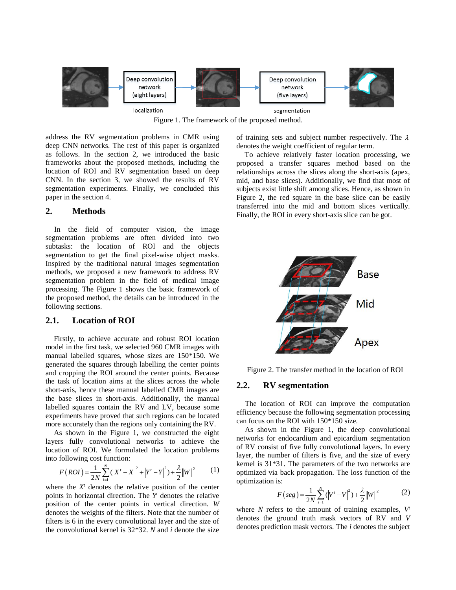

Figure 1. The framework of the proposed method.

address the RV segmentation problems in CMR using deep CNN networks. The rest of this paper is organized as follows. In the section 2, we introduced the basic frameworks about the proposed methods, including the location of ROI and RV segmentation based on deep CNN. In the section 3, we showed the results of RV segmentation experiments. Finally, we concluded this paper in the section 4.

### **2. Methods**

In the field of computer vision, the image segmentation problems are often divided into two subtasks: the location of ROI and the objects segmentation to get the final pixel-wise object masks. Inspired by the traditional natural images segmentation methods, we proposed a new framework to address RV segmentation problem in the field of medical image processing. The Figure 1 shows the basic framework of the proposed method, the details can be introduced in the following sections.

### **2.1. Location of ROI**

Firstly, to achieve accurate and robust ROI location model in the first task, we selected 960 CMR images with manual labelled squares, whose sizes are 150\*150. We generated the squares through labelling the center points and cropping the ROI around the center points. Because the task of location aims at the slices across the whole short-axis, hence these manual labelled CMR images are the base slices in short-axis. Additionally, the manual labelled squares contain the RV and LV, because some experiments have proved that such regions can be located more accurately than the regions only containing the RV.

As shown in the Figure 1, we constructed the eight layers fully convolutional networks to achieve the location of ROI. We formulated the location problems into following cost function:

$$
F(ROI) = \frac{1}{2N} \sum_{i=1}^{N} (|X' - X|^2 + |Y' - Y|^2) + \frac{\lambda}{2} ||W||^2
$$
 (1)

where the  $X<sup>t</sup>$  denotes the relative position of the center points in horizontal direction. The *Yt* denotes the relative position of the center points in vertical direction. *W* denotes the weights of the filters. Note that the number of filters is 6 in the every convolutional layer and the size of the convolutional kernel is 32\*32. *N* and *i* denote the size of training sets and subject number respectively. The  $\lambda$ denotes the weight coefficient of regular term.

To achieve relatively faster location processing, we proposed a transfer squares method based on the relationships across the slices along the short-axis (apex, mid, and base slices). Additionally, we find that most of subjects exist little shift among slices. Hence, as shown in Figure 2, the red square in the base slice can be easily transferred into the mid and bottom slices vertically. Finally, the ROI in every short-axis slice can be got.



Figure 2. The transfer method in the location of ROI

# **2.2. RV segmentation**

The location of ROI can improve the computation efficiency because the following segmentation processing can focus on the ROI with 150\*150 size.

As shown in the Figure 1, the deep convolutional networks for endocardium and epicardium segmentation of RV consist of five fully convolutional layers. In every layer, the number of filters is five, and the size of every kernel is 31\*31. The parameters of the two networks are optimized via back propagation. The loss function of the optimization is:

$$
F\left(seg\right) = \frac{1}{2N} \sum_{i=1}^{N} \left( V' - V \right)^{2} + \frac{\lambda}{2} \left\| W \right\|^{2} \tag{2}
$$

where *N* refers to the amount of training examples,  $V^t$ denotes the ground truth mask vectors of RV and *V* denotes prediction mask vectors. The *i* denotes the subject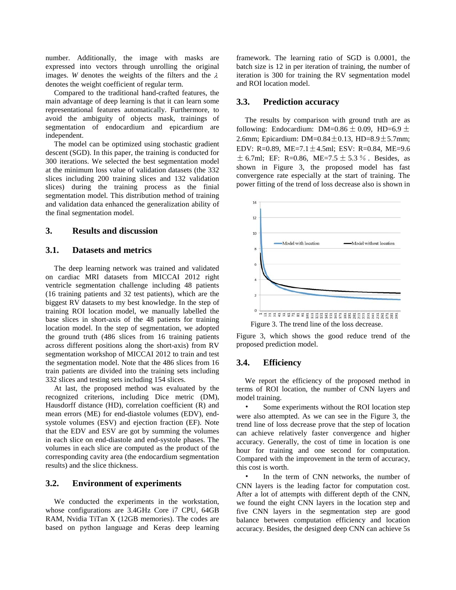number. Additionally, the image with masks are expressed into vectors through unrolling the original images. *W* denotes the weights of the filters and the  $\lambda$ denotes the weight coefficient of regular term.

Compared to the traditional hand-crafted features, the main advantage of deep learning is that it can learn some representational features automatically. Furthermore, to avoid the ambiguity of objects mask, trainings of segmentation of endocardium and epicardium are independent.

The model can be optimized using stochastic gradient descent (SGD). In this paper, the training is conducted for 300 iterations. We selected the best segmentation model at the minimum loss value of validation datasets (the 332 slices including 200 training slices and 132 validation slices) during the training process as the finial segmentation model. This distribution method of training and validation data enhanced the generalization ability of the final segmentation model.

### **3. Results and discussion**

# **3.1. Datasets and metrics**

The deep learning network was trained and validated on cardiac MRI datasets from MICCAI 2012 right ventricle segmentation challenge including 48 patients (16 training patients and 32 test patients), which are the biggest RV datasets to my best knowledge. In the step of training ROI location model, we manually labelled the base slices in short-axis of the 48 patients for training location model. In the step of segmentation, we adopted the ground truth (486 slices from 16 training patients across different positions along the short-axis) from RV segmentation workshop of MICCAI 2012 to train and test the segmentation model. Note that the 486 slices from 16 train patients are divided into the training sets including 332 slices and testing sets including 154 slices.

At last, the proposed method was evaluated by the recognized criterions, including Dice metric (DM), Hausdorff distance (HD), correlation coefficient (R) and mean errors (ME) for end-diastole volumes (EDV), endsystole volumes (ESV) and ejection fraction (EF). Note that the EDV and ESV are got by summing the volumes in each slice on end-diastole and end-systole phases. The volumes in each slice are computed as the product of the corresponding cavity area (the endocardium segmentation results) and the slice thickness.

# **3.2. Environment of experiments**

We conducted the experiments in the workstation, whose configurations are 3.4GHz Core i7 CPU, 64GB RAM, Nvidia TiTan X (12GB memories). The codes are based on python language and Keras deep learning framework. The learning ratio of SGD is 0.0001, the batch size is 12 in per iteration of training, the number of iteration is 300 for training the RV segmentation model and ROI location model.

#### **3.3. Prediction accuracy**

The results by comparison with ground truth are as following: Endocardium: DM=0.86  $\pm$  0.09, HD=6.9  $\pm$ 2.6mm; Epicardium: DM= $0.84 \pm 0.13$ , HD= $8.9 \pm 5.7$ mm; EDV: R=0.89, ME=7.1  $\pm$ 4.5ml; ESV: R=0.84, ME=9.6  $\pm$  6.7ml; EF: R=0.86, ME=7.5  $\pm$  5.3 %. Besides, as shown in Figure 3, the proposed model has fast convergence rate especially at the start of training. The power fitting of the trend of loss decrease also is shown in



Figure 3. The trend line of the loss decrease.

Figure 3, which shows the good reduce trend of the proposed prediction model.

#### **3.4. Efficiency**

We report the efficiency of the proposed method in terms of ROI location, the number of CNN layers and model training.

Some experiments without the ROI location step were also attempted. As we can see in the Figure 3, the trend line of loss decrease prove that the step of location can achieve relatively faster convergence and higher accuracy. Generally, the cost of time in location is one hour for training and one second for computation. Compared with the improvement in the term of accuracy, this cost is worth.

In the term of CNN networks, the number of CNN layers is the leading factor for computation cost. After a lot of attempts with different depth of the CNN, we found the eight CNN layers in the location step and five CNN layers in the segmentation step are good balance between computation efficiency and location accuracy. Besides, the designed deep CNN can achieve 5s